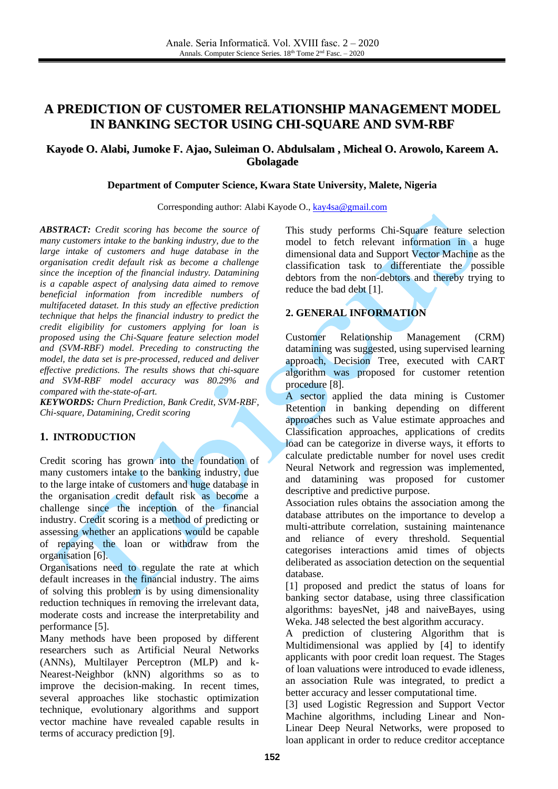# **A PREDICTION OF CUSTOMER RELATIONSHIP MANAGEMENT MODEL IN BANKING SECTOR USING CHI-SQUARE AND SVM-RBF**

## **Kayode O. Alabi, Jumoke F. Ajao, Suleiman O. Abdulsalam , Micheal O. Arowolo, Kareem A. Gbolagade**

#### **Department of Computer Science, Kwara State University, Malete, Nigeria**

Corresponding author: Alabi Kayode O., [kay4sa@gmail.com](mailto:kay4sa@gmail.com)

*ABSTRACT: Credit scoring has become the source of many customers intake to the banking industry, due to the large intake of customers and huge database in the organisation credit default risk as become a challenge since the inception of the financial industry. Datamining is a capable aspect of analysing data aimed to remove beneficial information from incredible numbers of multifaceted dataset. In this study an effective prediction technique that helps the financial industry to predict the credit eligibility for customers applying for loan is proposed using the Chi-Square feature selection model and (SVM-RBF) model. Preceding to constructing the model, the data set is pre-processed, reduced and deliver effective predictions. The results shows that chi-square and SVM-RBF model accuracy was 80.29% and compared with the-state-of-art.*

*KEYWORDS: Churn Prediction, Bank Credit, SVM-RBF, Chi-square, Datamining, Credit scoring*

## **1. INTRODUCTION**

Credit scoring has grown into the foundation of many customers intake to the banking industry, due to the large intake of customers and huge database in the organisation credit default risk as become a challenge since the inception of the financial industry. Credit scoring is a method of predicting or assessing whether an applications would be capable of repaying the loan or withdraw from the organisation [\[6\].](#page-4-0)

Organisations need to regulate the rate at which default increases in the financial industry. The aims of solving this problem is by using dimensionality reduction techniques in removing the irrelevant data, moderate costs and increase the interpretability and performance [\[5\].](#page-4-1)

Many methods have been proposed by different researchers such as Artificial Neural Networks (ANNs), Multilayer Perceptron (MLP) and k-Nearest-Neighbor (kNN) algorithms so as to improve the decision-making. In recent times, several approaches like stochastic optimization technique, evolutionary algorithms and support vector machine have revealed capable results in terms of accuracy prediction [\[9\].](#page-4-2)

This study performs Chi-Square feature selection model to fetch relevant information in a huge dimensional data and Support Vector Machine as the classification task to differentiate the possible debtors from the non-debtors and thereby trying to reduce the bad debt [\[1\].](#page-4-3)

# **2. GENERAL INFORMATION**

Customer Relationship Management (CRM) datamining was suggested, using supervised learning approach, Decision Tree, executed with CART algorithm was proposed for customer retention procedure [\[8\].](#page-4-4)

A sector applied the data mining is Customer Retention in banking depending on different approaches such as Value estimate approaches and Classification approaches, applications of credits load can be categorize in diverse ways, it efforts to calculate predictable number for novel uses credit Neural Network and regression was implemented, and datamining was proposed for customer descriptive and predictive purpose.

Association rules obtains the association among the database attributes on the importance to develop a multi-attribute correlation, sustaining maintenance and reliance of every threshold. Sequential categorises interactions amid times of objects deliberated as association detection on the sequential database.

[\[1\]](#page-4-3) proposed and predict the status of loans for banking sector database, using three classification algorithms: bayesNet, j48 and naiveBayes, using Weka. J48 selected the best algorithm accuracy.

A prediction of clustering Algorithm that is Multidimensional was applied by [\[4\]](#page-4-5) to identify applicants with poor credit loan request. The Stages of loan valuations were introduced to evade idleness, an association Rule was integrated, to predict a better accuracy and lesser computational time.

[\[3\]](#page-4-6) used Logistic Regression and Support Vector Machine algorithms, including Linear and Non-Linear Deep Neural Networks, were proposed to loan applicant in order to reduce creditor acceptance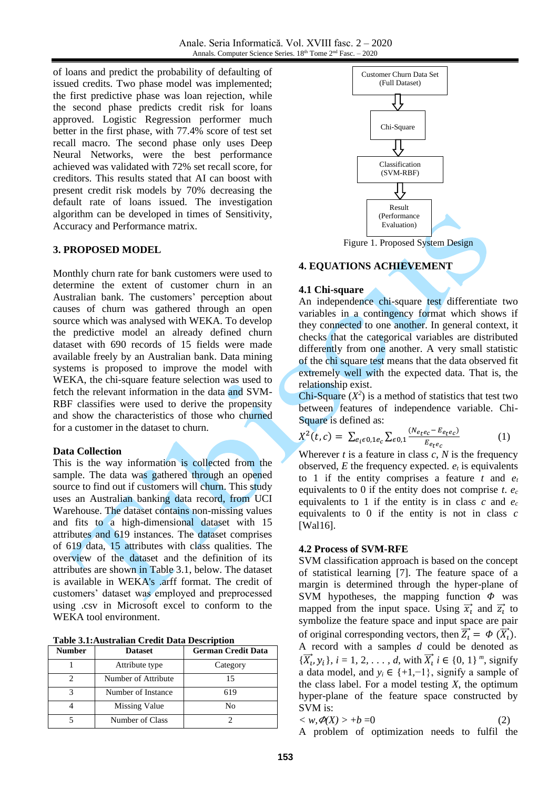of loans and predict the probability of defaulting of issued credits. Two phase model was implemented; the first predictive phase was loan rejection, while the second phase predicts credit risk for loans approved. Logistic Regression performer much better in the first phase, with 77.4% score of test set recall macro. The second phase only uses Deep Neural Networks, were the best performance achieved was validated with 72% set recall score, for creditors. This results stated that AI can boost with present credit risk models by 70% decreasing the default rate of loans issued. The investigation algorithm can be developed in times of Sensitivity, Accuracy and Performance matrix.

#### **3. PROPOSED MODEL**

Monthly churn rate for bank customers were used to determine the extent of customer churn in an Australian bank. The customers' perception about causes of churn was gathered through an open source which was analysed with WEKA. To develop the predictive model an already defined churn dataset with 690 records of 15 fields were made available freely by an Australian bank. Data mining systems is proposed to improve the model with WEKA, the chi-square feature selection was used to fetch the relevant information in the data and SVM-RBF classifies were used to derive the propensity and show the characteristics of those who churned for a customer in the dataset to churn.

#### **Data Collection**

This is the way information is collected from the sample. The data was gathered through an opened source to find out if customers will churn. This study uses an Australian banking data record, from UCI Warehouse. The dataset contains non-missing values and fits to a high-dimensional dataset with 15 attributes and 619 instances. The dataset comprises of 619 data, 15 attributes with class qualities. The overview of the dataset and the definition of its attributes are shown in Table 3.1, below. The dataset is available in WEKA's .arff format. The credit of customers' dataset was employed and preprocessed using .csv in Microsoft excel to conform to the WEKA tool environment.

**Table 3.1:Australian Credit Data Description**

| <b>Number</b> | <b>Dataset</b>       | <b>German Credit Data</b> |
|---------------|----------------------|---------------------------|
|               | Attribute type       | Category                  |
|               | Number of Attribute  | 15                        |
|               | Number of Instance   | 619                       |
|               | <b>Missing Value</b> | N٥                        |
|               | Number of Class      |                           |



Figure 1. Proposed System Design

### **4. EQUATIONS ACHIEVEMENT**

#### **4.1 Chi-square**

An independence chi-square test differentiate two variables in a contingency format which shows if they connected to one another. In general context, it checks that the categorical variables are distributed differently from one another. A very small statistic of the chi square test means that the data observed fit extremely well with the expected data. That is, the relationship exist.

Chi-Square  $(X^2)$  is a method of statistics that test two between features of independence variable. Chi-Square is defined as:

$$
X^{2}(t,c) = \sum_{e_i \in 0,1e_c} \sum_{\epsilon \in 0,1} \frac{(N_{e_t e_c} - E_{e_t e_c})}{E_{e_t e_c}}
$$
 (1)

Wherever  $t$  is a feature in class  $c$ ,  $N$  is the frequency observed,  $E$  the frequency expected.  $e_t$  is equivalents to 1 if the entity comprises a feature  $t$  and  $e_t$ equivalents to 0 if the entity does not comprise *t*. *e<sup>c</sup>* equivalents to 1 if the entity is in class  $c$  and  $e_c$ equivalents to 0 if the entity is not in class *c* [Wal16].

## **4.2 Process of SVM-RFE**

SVM classification approach is based on the concept of statistical learning [\[7\].](#page-4-7) The feature space of a margin is determined through the hyper-plane of SVM hypotheses, the mapping function  $\Phi$  was mapped from the input space. Using  $\vec{x_i}$  and  $\vec{z_i}$  to symbolize the feature space and input space are pair of original corresponding vectors, then  $\overrightarrow{Z_i} = \Phi(\overrightarrow{X_i})$ . A record with a samples *d* could be denoted as { $\overrightarrow{X}_i$ ,  $y_i$ }, *i* = 1, 2, . . . , *d*, with  $\overrightarrow{X}_i$  *i* ∈ {0, 1} <sup>*m*</sup>, signify a data model, and  $y_i \in \{+1, -1\}$ , signify a sample of the class label. For a model testing *X*, the optimum hyper-plane of the feature space constructed by SVM is:

 $\langle w, \phi(X) \rangle + b = 0$  (2)

A problem of optimization needs to fulfil the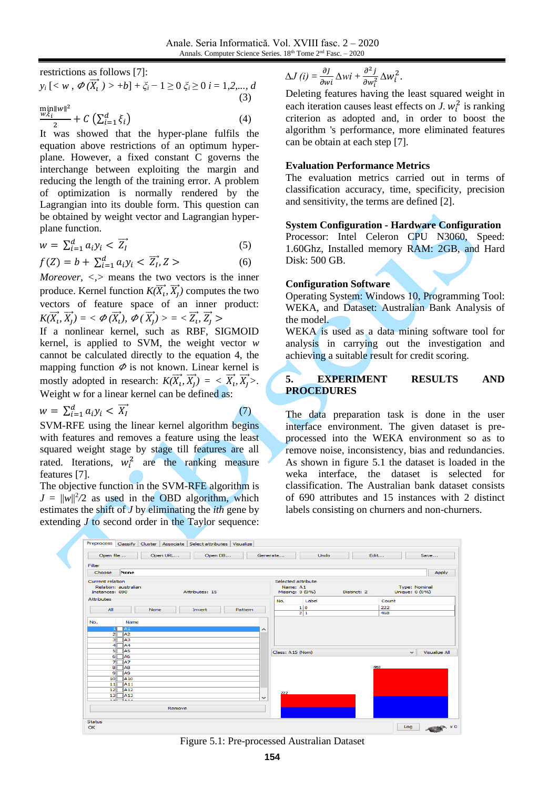restrictions as follows [\[7\]:](#page-4-7)  $y_i$  [ $< w$ ,  $\phi(\overrightarrow{X}_i) > +b$ ] +  $\xi_i - 1 \ge 0$   $\xi_i \ge 0$   $i = 1, 2, ..., d$ (3)

 $\left(4\right)$ 

 $\min_{w,\xi_i} \|w\|^2$ 

$$
\frac{i}{2} + C \left( \sum_{i=1}^{d} \xi_i \right)
$$

It was showed that the hyper-plane fulfils the equation above restrictions of an optimum hyperplane. However, a fixed constant C governs the interchange between exploiting the margin and reducing the length of the training error. A problem of optimization is normally rendered by the Lagrangian into its double form. This question can be obtained by weight vector and Lagrangian hyperplane function.

$$
w = \sum_{i=1}^{d} a_i y_i < \overrightarrow{Z_I} \tag{5}
$$

$$
f(Z) = b + \sum_{i=1}^{d} a_i y_i < \overline{Z_i}, Z > \tag{6}
$$

*Moreover, <,>* means the two vectors is the inner produce. Kernel function  $K(\overrightarrow{X}_t, \overrightarrow{X}_t)$  computes the two vectors of feature space of an inner product:  $K(\overrightarrow{X_i}, \overrightarrow{X_j}) = \langle \phi(\overrightarrow{X_i}), \phi(\overrightarrow{X_j}) \rangle = \langle \overrightarrow{Z_i}, \overrightarrow{Z_j} \rangle$ 

If a nonlinear kernel, such as RBF, SIGMOID kernel, is applied to SVM, the weight vector *w* cannot be calculated directly to the equation 4, the mapping function  $\phi$  is not known. Linear kernel is mostly adopted in research:  $K(\overrightarrow{X}_i, \overrightarrow{X}_j) = \langle \overrightarrow{X}_i, \overrightarrow{X}_j \rangle$ . Weight w for a linear kernel can be defined as:

$$
w = \sum_{i=1}^d a_i y_i < \overrightarrow{X_I}
$$

 $\overrightarrow{X}_I$  (7)

SVM-RFE using the linear kernel algorithm begins with features and removes a feature using the least squared weight stage by stage till features are all rated. Iterations,  $w_i^2$  are the ranking measure features [\[7\].](#page-4-7)

The objective function in the SVM-RFE algorithm is  $J = ||w||^2/2$  as used in the OBD algorithm, which estimates the shift of *J* by eliminating the *ith* gene by extending *J* to second order in the Taylor sequence:

$$
\Delta J(i) = \frac{\partial J}{\partial w_i} \Delta w_i + \frac{\partial^2 j}{\partial w_i^2} \Delta w_i^2.
$$

Deleting features having the least squared weight in each iteration causes least effects on *J*.  $w_i^2$  is ranking criterion as adopted and, in order to boost the algorithm 's performance, more eliminated features can be obtain at each step [\[7\].](#page-4-7)

### **Evaluation Performance Metrics**

The evaluation metrics carried out in terms of classification accuracy, time, specificity, precision and sensitivity, the terms are defined [\[2\].](#page-4-8)

#### **System Configuration - Hardware Configuration**

Processor: Intel Celeron CPU N3060, Speed: 1.60Ghz, Installed memory RAM: 2GB, and Hard Disk: 500 GB.

#### **Configuration Software**

Operating System: Windows 10, Programming Tool: WEKA, and Dataset: Australian Bank Analysis of the model.

WEKA is used as a data mining software tool for analysis in carrying out the investigation and achieving a suitable result for credit scoring.

## **5. EXPERIMENT RESULTS AND PROCEDURES**

The data preparation task is done in the user interface environment. The given dataset is preprocessed into the WEKA environment so as to remove noise, inconsistency, bias and redundancies. As shown in figure 5.1 the dataset is loaded in the weka interface, the dataset is selected for classification. The Australian bank dataset consists of 690 attributes and 15 instances with 2 distinct labels consisting on churners and non-churners.



Figure 5.1: Pre-processed Australian Dataset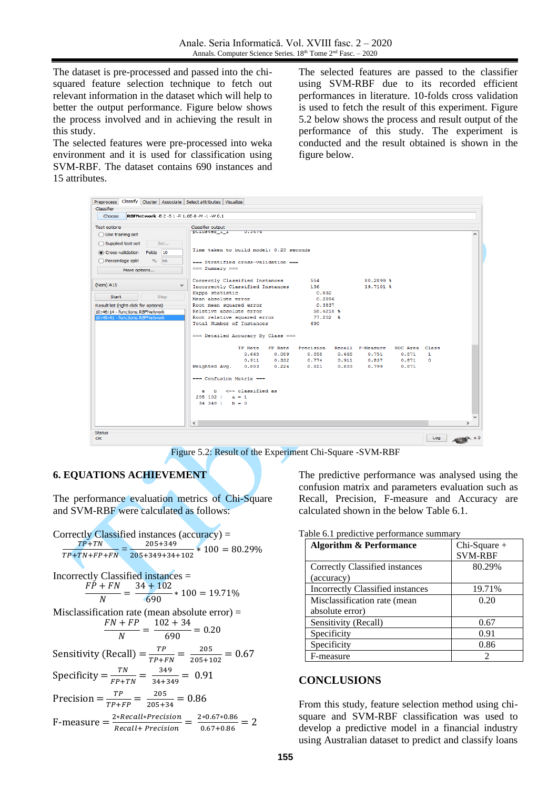The dataset is pre-processed and passed into the chisquared feature selection technique to fetch out relevant information in the dataset which will help to better the output performance. Figure below shows the process involved and in achieving the result in this study.

The selected features were pre-processed into weka environment and it is used for classification using SVM-RBF. The dataset contains 690 instances and 15 attributes.

The selected features are passed to the classifier using SVM-RBF due to its recorded efficient performances in literature. 10-folds cross validation is used to fetch the result of this experiment. Figure 5.2 below shows the process and result output of the performance of this study. The experiment is conducted and the result obtained is shown in the figure below.

| Classify Cluster Associate Select attributes Visualize<br>Preprocess |                                                                            |                                       |  |
|----------------------------------------------------------------------|----------------------------------------------------------------------------|---------------------------------------|--|
| Classifier                                                           |                                                                            |                                       |  |
| RBFNetwork -B 2 -S 1 -R 1.0E-8 -M -1 -W 0.1<br>Choose                |                                                                            |                                       |  |
| <b>Test options</b>                                                  | Classifier output<br>U.3474                                                |                                       |  |
| $\bigcirc$ Use training set                                          | puluster 1 1                                                               |                                       |  |
| ◯ Supplied test set<br>Set                                           |                                                                            |                                       |  |
| Cross-validation Folds<br> 10                                        | Time taken to build model: 0.23 seconds                                    |                                       |  |
| Percentage split<br>$\frac{1}{2}$<br>66                              | === Stratified cross-validation ===                                        |                                       |  |
| More options                                                         | $== Summarv ==$                                                            |                                       |  |
| (Nom) A15                                                            | Correctly Classified Instances<br>554 756<br>80.2899 %                     |                                       |  |
| $\checkmark$                                                         | Incorrectly Classified Instances<br>19.7101 \$<br>Kappa statistic<br>0.592 |                                       |  |
| <b>Start</b><br>Stop                                                 | Mean absolute error<br>0.2896                                              |                                       |  |
| Result list (right-click for options)                                | Root mean squared error<br>0.3837                                          |                                       |  |
| 10:46:14 - functions.RBENetwork                                      | Relative absolute error<br>$58.6218$ \$                                    |                                       |  |
| 10:49:41 - functions.RBFNetwork                                      | Root relative squared error<br>$77.202$ \$                                 |                                       |  |
|                                                                      | Total Number of Instances<br>690.                                          |                                       |  |
|                                                                      | === Detailed Accuracy By Class ===                                         |                                       |  |
|                                                                      | TP Rate FP Rate Precision Recall F-Measure ROC Area Class                  |                                       |  |
|                                                                      | 0.668<br>0.089<br>0.668<br>0.858<br>0.751<br>0.871<br>$\mathbf{1}$         |                                       |  |
|                                                                      | $0.911$ $0.332$<br>$0.774$ $0.911$<br>0.837<br>0.871<br>$\Omega$           |                                       |  |
|                                                                      | Weighted Avg. 0.803 0.224 0.811 0.803 0.799<br>0.871                       |                                       |  |
|                                                                      | === Confusion Matrix ===                                                   |                                       |  |
|                                                                      | a b <-- classified as                                                      |                                       |  |
|                                                                      | $205 102$   a = 1                                                          |                                       |  |
|                                                                      | $34349 \mid h = 0$                                                         |                                       |  |
|                                                                      |                                                                            |                                       |  |
|                                                                      | $\langle$                                                                  | $\rightarrow$                         |  |
| <b>Status</b>                                                        |                                                                            |                                       |  |
| $\sim$                                                               | $100 - 1$                                                                  | <b><i>CONTINUES</i></b> OF CONTINUES. |  |

Figure 5.2: Result of the Experiment Chi-Square -SVM-RBF

## **6. EQUATIONS ACHIEVEMENT**

The performance evaluation metrics of Chi-Square and SVM-RBF were calculated as follows:

Correctly Classified instances (accuracy) =  $TP+TN$  $\frac{TP+TN}{TP+TN+FP+FN} = \frac{205+349}{205+349+345}$  $\frac{2031349}{205+349+34+102} * 100 = 80.29\%$ Incorrectly Classified instances =  $FP + FN$  $\frac{+FN}{N} = \frac{34 + 102}{690} * 100 = 19.71\%$ Misclassification rate (mean absolute error) =  $FN + FP$  $\frac{+FP}{N} = \frac{102 + 34}{690} = 0.20$ Sensitivity (Recall) =  $\frac{TP}{TP+FN} = \frac{205}{205+1}$  $\frac{203}{205+102} = 0.67$ Specificity  $=$   $\frac{TN}{FP+TN}$   $=$   $\frac{349}{34+34}$  $\frac{349}{34+349} = 0.91$ Precision =  $\frac{TP}{TP + FP} = \frac{205}{205 + 1}$  $\frac{203}{205+34} = 0.86$ F-measure  $= \frac{2*Recall*Precision}{Recall+Precision} = \frac{2*0.67*0.86}{0.67+0.86}$  $\frac{10.67 + 0.86}{0.67 + 0.86} = 2$ 

The predictive performance was analysed using the confusion matrix and parameters evaluation such as Recall, Precision, F-measure and Accuracy are calculated shown in the below Table 6.1.

| <b>Algorithm &amp; Performance</b> | Chi-Square +   |
|------------------------------------|----------------|
|                                    | <b>SVM-RBF</b> |
| Correctly Classified instances     | 80.29%         |
| (accuracy)                         |                |
| Incorrectly Classified instances   | 19.71%         |
| Misclassification rate (mean       | 0.20           |
| absolute error)                    |                |
| Sensitivity (Recall)               | 0.67           |
| Specificity                        | 0.91           |
| Specificity                        | 0.86           |
| F-measure                          |                |

Table 6.1 predictive performance summary

#### **CONCLUSIONS**

From this study, feature selection method using chisquare and SVM-RBF classification was used to develop a predictive model in a financial industry using Australian dataset to predict and classify loans